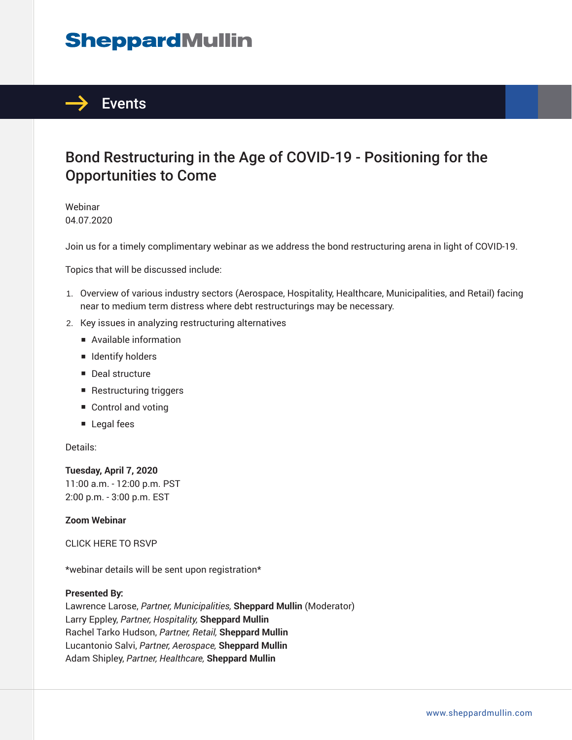# **SheppardMullin**



### Bond Restructuring in the Age of COVID-19 - Positioning for the Opportunities to Come

Webinar 04.07.2020

Join us for a timely complimentary webinar as we address the bond restructuring arena in light of COVID-19.

Topics that will be discussed include:

- 1. Overview of various industry sectors (Aerospace, Hospitality, Healthcare, Municipalities, and Retail) facing near to medium term distress where debt restructurings may be necessary.
- 2. Key issues in analyzing restructuring alternatives
	- Available information
	- Identify holders
	- Deal structure
	- Restructuring triggers
	- Control and voting
	- Legal fees

Details:

**Tuesday, April 7, 2020** 11:00 a.m. - 12:00 p.m. PST 2:00 p.m. - 3:00 p.m. EST

### **Zoom Webinar**

CLICK HERE TO RSVP

\*webinar details will be sent upon registration\*

### **Presented By:**

Lawrence Larose, *Partner, Municipalities,* **Sheppard Mullin** (Moderator) Larry Eppley, *Partner, Hospitality,* **Sheppard Mullin** Rachel Tarko Hudson, *Partner, Retail,* **Sheppard Mullin** Lucantonio Salvi, *Partner, Aerospace,* **Sheppard Mullin** Adam Shipley, *Partner, Healthcare,* **Sheppard Mullin**